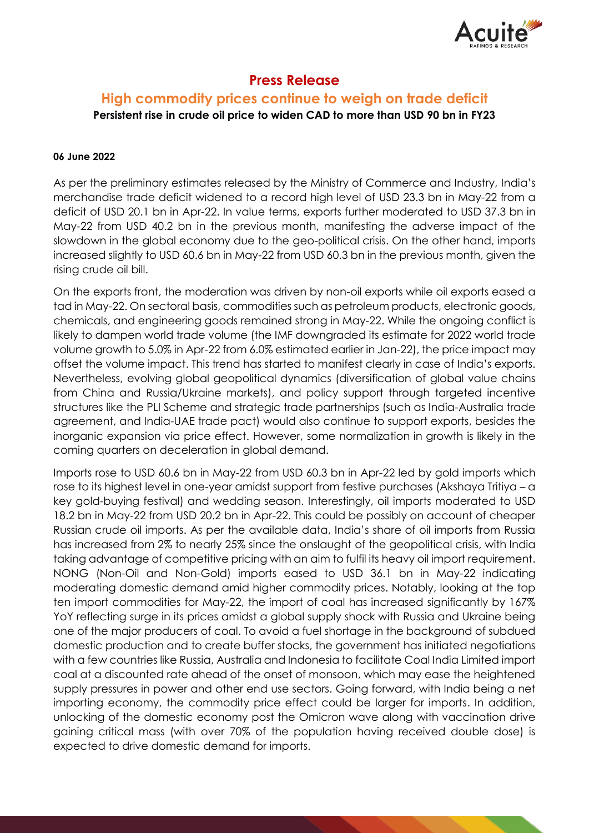

# **Press Release**

## **High commodity prices continue to weigh on trade deficit Persistent rise in crude oil price to widen CAD to more than USD 90 bn in FY23**

#### **06 June 2022**

As per the preliminary estimates released by the Ministry of Commerce and Industry, India's merchandise trade deficit widened to a record high level of USD 23.3 bn in May-22 from a deficit of USD 20.1 bn in Apr-22. In value terms, exports further moderated to USD 37.3 bn in May-22 from USD 40.2 bn in the previous month, manifesting the adverse impact of the slowdown in the global economy due to the geo-political crisis. On the other hand, imports increased slightly to USD 60.6 bn in May-22 from USD 60.3 bn in the previous month, given the rising crude oil bill.

On the exports front, the moderation was driven by non-oil exports while oil exports eased a tad in May-22. On sectoral basis, commodities such as petroleum products, electronic goods, chemicals, and engineering goods remained strong in May-22. While the ongoing conflict is likely to dampen world trade volume (the IMF downgraded its estimate for 2022 world trade volume growth to 5.0% in Apr-22 from 6.0% estimated earlier in Jan-22), the price impact may offset the volume impact. This trend has started to manifest clearly in case of India's exports. Nevertheless, evolving global geopolitical dynamics (diversification of global value chains from China and Russia/Ukraine markets), and policy support through targeted incentive structures like the PLI Scheme and strategic trade partnerships (such as India-Australia trade agreement, and India-UAE trade pact) would also continue to support exports, besides the inorganic expansion via price effect. However, some normalization in growth is likely in the coming quarters on deceleration in global demand.

Imports rose to USD 60.6 bn in May-22 from USD 60.3 bn in Apr-22 led by gold imports which rose to its highest level in one-year amidst support from festive purchases (Akshaya Tritiya – a key gold-buying festival) and wedding season. Interestingly, oil imports moderated to USD 18.2 bn in May-22 from USD 20.2 bn in Apr-22. This could be possibly on account of cheaper Russian crude oil imports. As per the available data, India's share of oil imports from Russia has increased from 2% to nearly 25% since the onslaught of the geopolitical crisis, with India taking advantage of competitive pricing with an aim to fulfil its heavy oil import requirement. NONG (Non-Oil and Non-Gold) imports eased to USD 36.1 bn in May-22 indicating moderating domestic demand amid higher commodity prices. Notably, looking at the top ten import commodities for May-22, the import of coal has increased significantly by 167% YoY reflecting surge in its prices amidst a global supply shock with Russia and Ukraine being one of the major producers of coal. To avoid a fuel shortage in the background of subdued domestic production and to create buffer stocks, the government has initiated negotiations with a few countries like Russia, Australia and Indonesia to facilitate Coal India Limited import coal at a discounted rate ahead of the onset of monsoon, which may ease the heightened supply pressures in power and other end use sectors. Going forward, with India being a net importing economy, the commodity price effect could be larger for imports. In addition, unlocking of the domestic economy post the Omicron wave along with vaccination drive gaining critical mass (with over 70% of the population having received double dose) is expected to drive domestic demand for imports.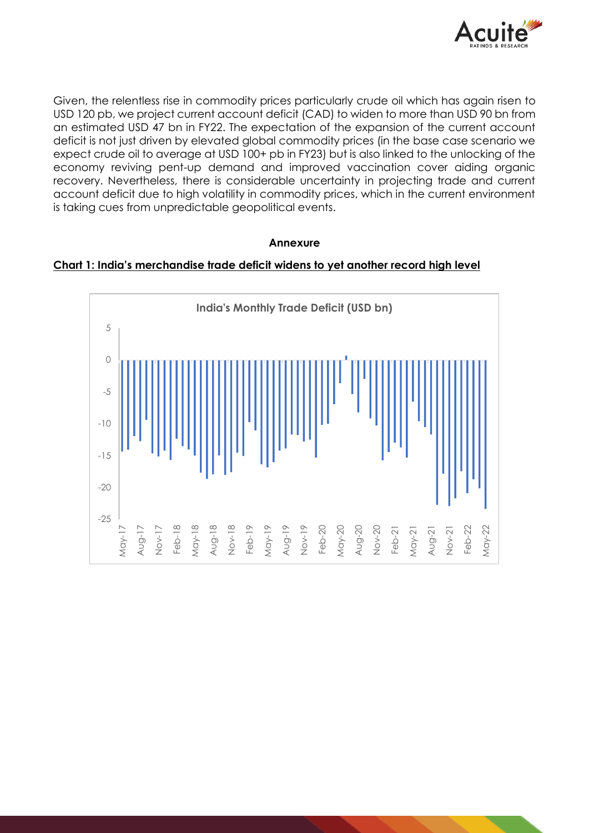

Given, the relentless rise in commodity prices particularly crude oil which has again risen to USD 120 pb, we project current account deficit (CAD) to widen to more than USD 90 bn from an estimated USD 47 bn in FY22. The expectation of the expansion of the current account deficit is not just driven by elevated global commodity prices (in the base case scenario we expect crude oil to average at USD 100+ pb in FY23) but is also linked to the unlocking of the economy reviving pent-up demand and improved vaccination cover aiding organic recovery. Nevertheless, there is considerable uncertainty in projecting trade and current account deficit due to high volatility in commodity prices, which in the current environment is taking cues from unpredictable geopolitical events.

### **Annexure**



#### **Chart 1: India's merchandise trade deficit widens to yet another record high level**